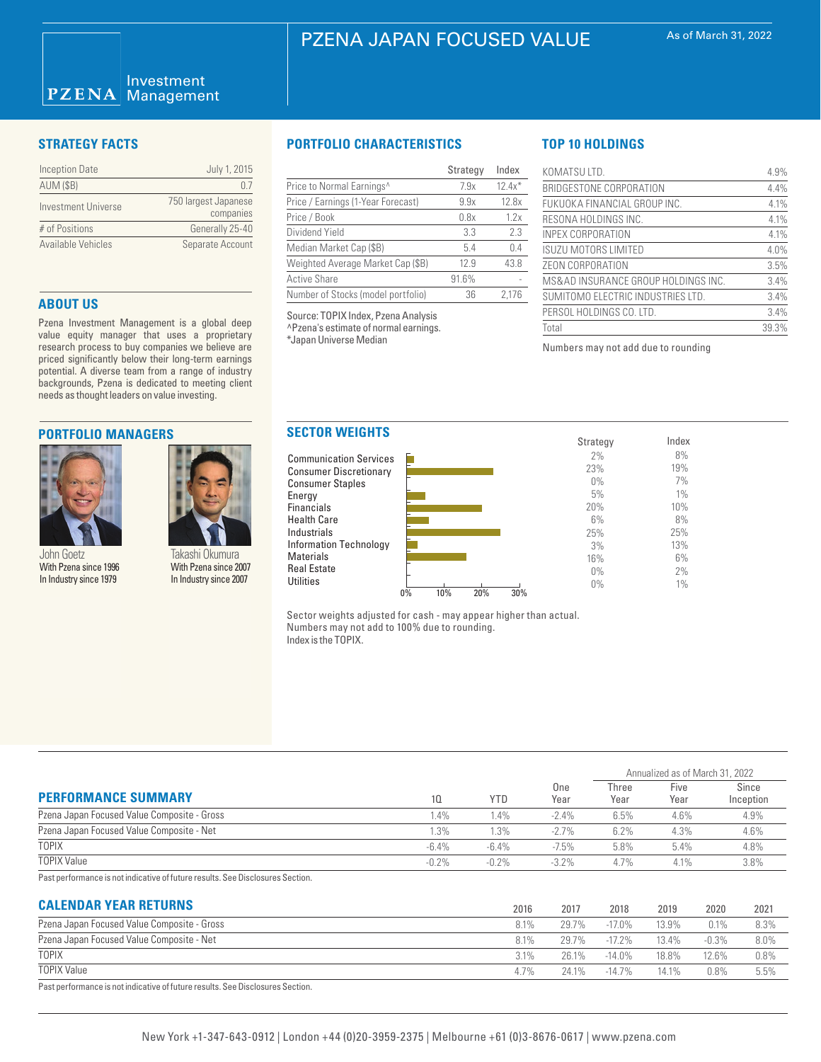### Investment  $PZENA$ **Management**

| <b>Inception Date</b> | July 1, 2015                      |
|-----------------------|-----------------------------------|
| <b>AUM (\$B)</b>      | $\Box$                            |
| Investment Universe   | 750 largest Japanese<br>companies |
| # of Positions        | Generally 25-40                   |
| Available Vehicles    | Separate Account                  |

# **ABOUT US**

Pzena Investment Management is a global deep value equity manager that uses a proprietary research process to buy companies we believe are priced significantly below their long-term earnings potential. A diverse team from a range of industry backgrounds, Pzena is dedicated to meeting client needs as thought leaders on value investing.

## **PORTFOLIO MANAGERS**



John Goetz With Pzena since 1996 In Industry since 1979

Energy **Financials** Health Care Industrials

Materials Real Estate **Utilities** 

Takashi Okumura With Pzena since 2007 In Industry since 2007

# **STRATEGY FACTS PORTFOLIO CHARACTERISTICS**

|                                       | Strategy | Index    |
|---------------------------------------|----------|----------|
| Price to Normal Earnings <sup>^</sup> | 7.9x     | $12.4x*$ |
| Price / Earnings (1-Year Forecast)    | 9.9x     | 12.8x    |
| Price / Book                          | 0.8x     | 1.2x     |
| Dividend Yield                        | 3.3      | 2.3      |
| Median Market Cap (\$B)               | 5.4      | 0.4      |
| Weighted Average Market Cap (\$B)     | 12.9     | 43.8     |
| <b>Active Share</b>                   | 91.6%    |          |
| Number of Stocks (model portfolio)    | 36       | 2.176    |

Source: TOPIX Index, Pzena Analysis ^Pzena's estimate of normal earnings. \*Japan Universe Median

# **TOP 10 HOLDINGS**

| KOMATSU LTD.                        | 4.9%  |
|-------------------------------------|-------|
| BRIDGESTONE CORPORATION             | 4.4%  |
| FUKUOKA FINANCIAL GROUP INC.        | 4.1%  |
| RESONA HOLDINGS INC.                | 4.1%  |
| INPEX CORPORATION                   | 4.1%  |
| ISUZU MOTORS LIMITED                | 4.0%  |
| ZEON CORPORATION                    | 3.5%  |
| MS&AD INSURANCE GROUP HOLDINGS INC. | 3.4%  |
| SUMITOMO ELECTRIC INDUSTRIES LTD.   | 3.4%  |
| PERSOL HOLDINGS CO. LTD.            | 3.4%  |
| Total                               | 39.3% |

Numbers may not add due to rounding



Sector weights adjusted for cash - may appear higher than actual. Numbers may not add to 100% due to rounding. Index is the TOPIX.

|                                             |          |            |             | Annualized as of March 31, 2022 |              |                    |
|---------------------------------------------|----------|------------|-------------|---------------------------------|--------------|--------------------|
| <b>PERFORMANCE SUMMARY</b>                  | 10       | <b>YTD</b> | One<br>Year | Three<br>Year                   | Five<br>Year | Since<br>Inception |
| Pzena Japan Focused Value Composite - Gross | 1.4%     | 4%         | $-2.4\%$    | 6.5%                            | 4.6%         | 4.9%               |
| Pzena Japan Focused Value Composite - Net   | $.3\%$   | $1.3\%$    | $-2.7\%$    | 6.2%                            | 4.3%         | 4.6%               |
| TOPIX                                       | $-6.4\%$ | $-6.4\%$   | $-7.5%$     | 5.8%                            | 5.4%         | 4.8%               |
| <b>TOPIX Value</b>                          | $-0.2%$  | $-0.2%$    | $-3.2\%$    | 4.7%                            | 4.1%         | 3.8%               |

Past performance is not indicative of future results. See Disclosures Section.

# **CALENDAR YEAR RETURNS**

| <b>UALENDAN TEAN NETURNS</b>                                                  | 2016    | 2017  | 2018      | 2019     | 2020     | 2021 |
|-------------------------------------------------------------------------------|---------|-------|-----------|----------|----------|------|
| Pzena Japan Focused Value Composite - Gross                                   | 8.1%    | 29.7% | $-17.0\%$ | 13.9%    | 0.1%     | 8.3% |
| Pzena Japan Focused Value Composite - Net                                     | 8.1%    | 29.7% | $-17.2\%$ | $13.4\%$ | $-0.3\%$ | 8.0% |
| <b>TOPIX</b>                                                                  | $3.1\%$ | 26.1% | $-14.0\%$ | 18.8%    | 12.6%    | 0.8% |
| <b>TOPIX Value</b>                                                            | $4.7\%$ | 24 1% | $-14.7\%$ | 14.1%    | $0.8\%$  | 5.5% |
| Past nerformance is not indicative of future results. See Disclosures Section |         |       |           |          |          |      |

Past performance is not indicative of future results. See Disclosures Section.